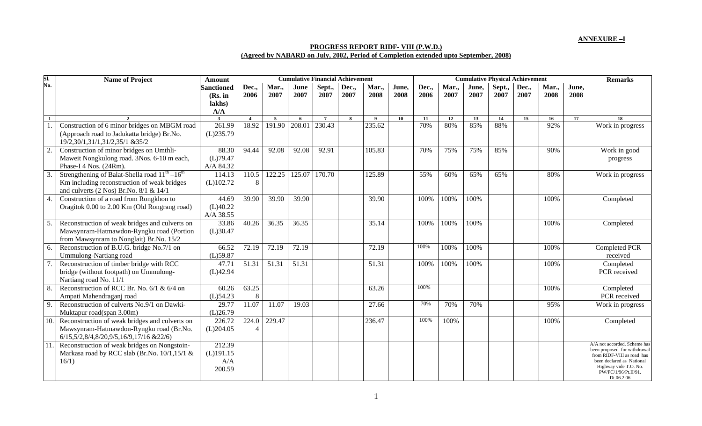## **ANNEXURE –I**

## **PROGRESS REPORT RIDF- VIII (P.W.D.) (Agreed by NABARD on July, 2002, Period of Completion extended upto September, 2008)**

| SI.              | <b>Name of Project</b>                                                        | <b>Amount</b>                                 | <b>Cumulative Financial Achievement</b> |                     |              |                |               |               |               | <b>Cumulative Physical Achievement</b> |               |               |                |               |               |               | <b>Remarks</b>                                               |
|------------------|-------------------------------------------------------------------------------|-----------------------------------------------|-----------------------------------------|---------------------|--------------|----------------|---------------|---------------|---------------|----------------------------------------|---------------|---------------|----------------|---------------|---------------|---------------|--------------------------------------------------------------|
| No.              |                                                                               | <b>Sanctioned</b><br>(Rs. in<br>lakhs)<br>A/A | Dec.,<br>2006                           | Mar.,<br>2007       | June<br>2007 | Sept.,<br>2007 | Dec.,<br>2007 | Mar.,<br>2008 | June,<br>2008 | Dec.,<br>2006                          | Mar.,<br>2007 | June,<br>2007 | Sept.,<br>2007 | Dec.,<br>2007 | Mar.,<br>2008 | June,<br>2008 |                                                              |
| $\mathbf{1}$     |                                                                               | $\overline{\mathbf{3}}$                       | $\overline{\mathbf{4}}$                 | 5                   | 6            | $\overline{7}$ | -8            | $\mathbf{Q}$  | 10            | 11                                     | 12            | 13            | 14             | 15            | 16            | 17            | $\overline{18}$                                              |
|                  | Construction of 6 minor bridges on MBGM road                                  | 261.99                                        | 18.92                                   | 191.90              | 208.01       | 230.43         |               | 235.62        |               | 70%                                    | 80%           | 85%           | 88%            |               | 92%           |               | Work in progress                                             |
|                  | (Approach road to Jadukatta bridge) Br.No.<br>19/2,30/1,31/1,31/2,35/1 & 35/2 | (L)235.79                                     |                                         |                     |              |                |               |               |               |                                        |               |               |                |               |               |               |                                                              |
|                  | Construction of minor bridges on Umthli-                                      | 88.30                                         | 94.44                                   | 92.08               | 92.08        | 92.91          |               | 105.83        |               | 70%                                    | 75%           | 75%           | 85%            |               | 90%           |               | Work in good                                                 |
|                  | Maweit Nongkulong road. 3Nos. 6-10 m each,                                    | (L)79.47                                      |                                         |                     |              |                |               |               |               |                                        |               |               |                |               |               |               | progress                                                     |
|                  | Phase-I 4 Nos. (24Rm).                                                        | A/A 84.32                                     |                                         |                     |              |                |               |               |               |                                        |               |               |                |               |               |               |                                                              |
| $\overline{3}$ . | Strengthening of Balat-Shella road $11^{th} - 16^{th}$                        | 114.13                                        | 110.5                                   | $\overline{122.25}$ | 125.07       | 170.70         |               | 125.89        |               | 55%                                    | 60%           | 65%           | 65%            |               | 80%           |               | Work in progress                                             |
|                  | Km including reconstruction of weak bridges                                   | (L)102.72                                     | 8                                       |                     |              |                |               |               |               |                                        |               |               |                |               |               |               |                                                              |
|                  | and culverts $(2$ Nos) Br.No. $8/1$ & $14/1$                                  |                                               |                                         |                     |              |                |               |               |               |                                        |               |               |                |               |               |               |                                                              |
| 4.               | Construction of a road from Rongkhon to                                       | 44.69                                         | 39.90                                   | 39.90               | 39.90        |                |               | 39.90         |               | 100%                                   | 100%          | 100%          |                |               | 100%          |               | Completed                                                    |
|                  | Oragitok 0.00 to 2.00 Km (Old Rongrang road)                                  | (L)40.22                                      |                                         |                     |              |                |               |               |               |                                        |               |               |                |               |               |               |                                                              |
|                  |                                                                               | A/A 38.55                                     |                                         |                     |              |                |               |               |               |                                        |               |               |                |               |               |               |                                                              |
| 5.               | Reconstruction of weak bridges and culverts on                                | 33.86                                         | 40.26                                   | 36.35               | 36.35        |                |               | 35.14         |               | 100%                                   | 100%          | 100%          |                |               | 100%          |               | Completed                                                    |
|                  | Mawsynram-Hatmawdon-Ryngku road (Portion                                      | (L)30.47                                      |                                         |                     |              |                |               |               |               |                                        |               |               |                |               |               |               |                                                              |
|                  | from Mawsynram to Nonglait) Br.No. 15/2                                       |                                               |                                         |                     |              |                |               |               |               |                                        |               |               |                |               |               |               |                                                              |
| 6.               | Reconstruction of B.U.G. bridge No.7/1 on                                     | 66.52                                         | 72.19                                   | 72.19               | 72.19        |                |               | 72.19         |               | 100%                                   | 100%          | 100%          |                |               | 100%          |               | Completed PCR                                                |
|                  | Ummulong-Nartiang road                                                        | $(L)$ 59.87                                   |                                         |                     |              |                |               |               |               |                                        |               |               |                |               |               |               | received                                                     |
|                  | Reconstruction of timber bridge with RCC                                      | 47.71                                         | 51.31                                   | 51.31               | 51.31        |                |               | 51.31         |               | 100%                                   | 100%          | 100%          |                |               | 100%          |               | Completed                                                    |
|                  | bridge (without footpath) on Ummulong-                                        | (L)42.94                                      |                                         |                     |              |                |               |               |               |                                        |               |               |                |               |               |               | PCR received                                                 |
|                  | Nartiang road No. 11/1                                                        |                                               |                                         |                     |              |                |               |               |               |                                        |               |               |                |               |               |               |                                                              |
| 8.               | Reconstruction of RCC Br. No. $6/1$ & $6/4$ on                                | 60.26                                         | 63.25                                   |                     |              |                |               | 63.26         |               | 100%                                   |               |               |                |               | 100%          |               | Completed                                                    |
|                  | Ampati Mahendraganj road                                                      | $(L)$ 54.23                                   | 8                                       |                     |              |                |               |               |               |                                        |               |               |                |               |               |               | PCR received                                                 |
| 9.               | Reconstruction of culverts No.9/1 on Dawki-                                   | 29.77                                         | 11.07                                   | 11.07               | 19.03        |                |               | 27.66         |               | 70%                                    | 70%           | 70%           |                |               | 95%           |               | Work in progress                                             |
|                  | Muktapur road(span 3.00m)                                                     | (L)26.79                                      |                                         |                     |              |                |               |               |               |                                        |               |               |                |               |               |               |                                                              |
| 10.              | Reconstruction of weak bridges and culverts on                                | 226.72                                        | 224.0                                   | 229.47              |              |                |               | 236.47        |               | 100%                                   | 100%          |               |                |               | 100%          |               | Completed                                                    |
|                  | Mawsynram-Hatmawdon-Ryngku road (Br.No.                                       | (L)204.05                                     |                                         |                     |              |                |               |               |               |                                        |               |               |                |               |               |               |                                                              |
|                  | 6/15,5/2,8/4,8/20,9/5,16/9,17/16 &22/6)                                       |                                               |                                         |                     |              |                |               |               |               |                                        |               |               |                |               |               |               |                                                              |
| 11.              | Reconstruction of weak bridges on Nongstoin-                                  | 212.39                                        |                                         |                     |              |                |               |               |               |                                        |               |               |                |               |               |               | A/A not accorded. Scheme has<br>been proposed for withdrawal |
|                  | Markasa road by RCC slab (Br.No. 10/1,15/1 &                                  | $(L)$ 191.15                                  |                                         |                     |              |                |               |               |               |                                        |               |               |                |               |               |               | from RIDF-VIII as road has                                   |
|                  | 16/1)                                                                         | A/A                                           |                                         |                     |              |                |               |               |               |                                        |               |               |                |               |               |               | been declared as National                                    |
|                  |                                                                               | 200.59                                        |                                         |                     |              |                |               |               |               |                                        |               |               |                |               |               |               | Highway vide T.O. No.<br>PW/PC/1/96/Pt.II/91.                |
|                  |                                                                               |                                               |                                         |                     |              |                |               |               |               |                                        |               |               |                |               |               |               | Dt.06.2.06                                                   |